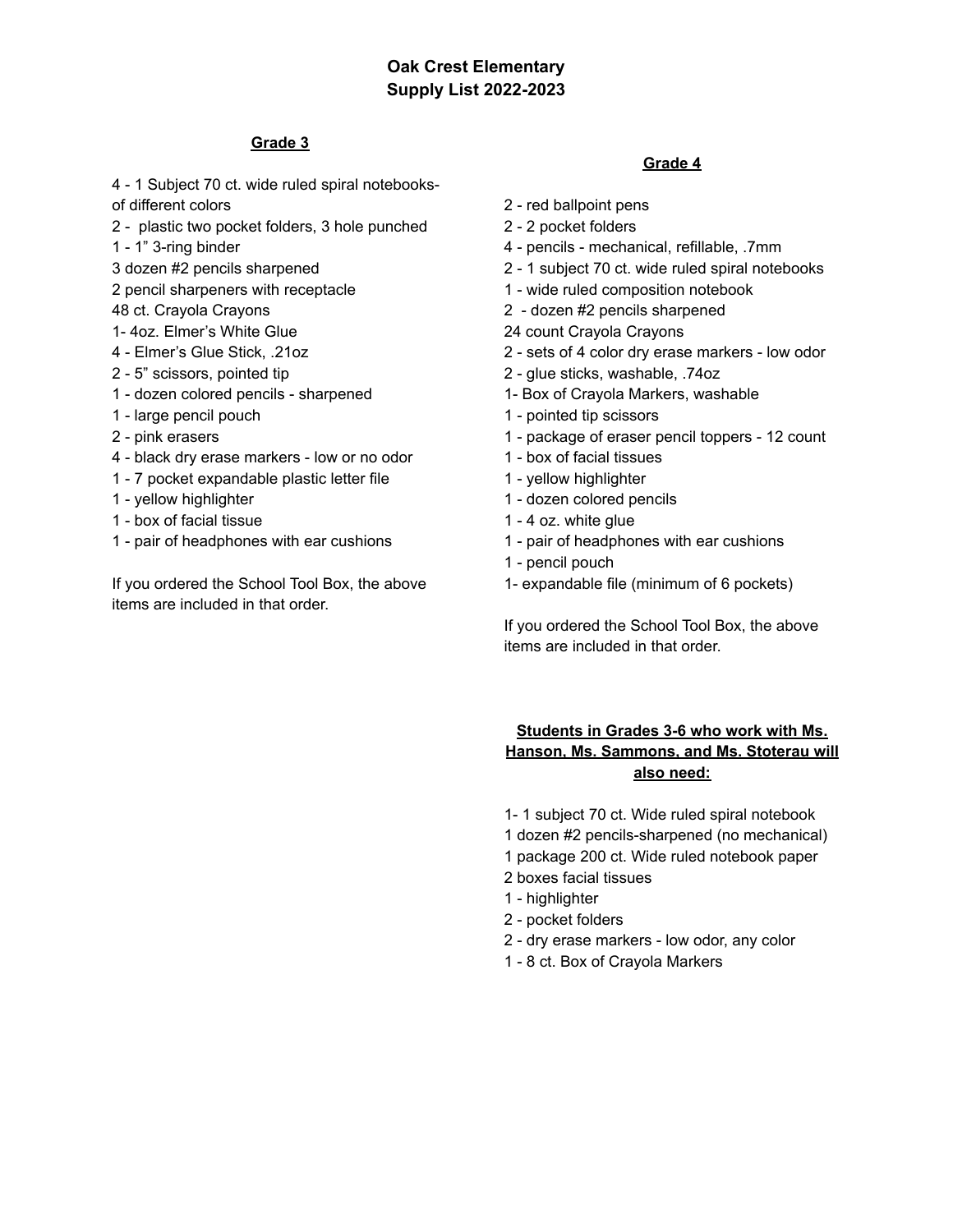# **Oak Crest Elementary Supply List 2022-2023**

### **Grade 3**

- 1 Subject 70 ct. wide ruled spiral notebooks-

of different colors

- plastic two pocket folders, 3 hole punched
- 1" 3-ring binder
- dozen #2 pencils sharpened
- pencil sharpeners with receptacle
- ct. Crayola Crayons
- 1- 4oz. Elmer's White Glue
- Elmer's Glue Stick, .21oz
- 5" scissors, pointed tip
- dozen colored pencils sharpened
- large pencil pouch
- pink erasers
- black dry erase markers low or no odor
- 7 pocket expandable plastic letter file
- yellow highlighter
- box of facial tissue
- pair of headphones with ear cushions

If you ordered the School Tool Box, the above items are included in that order.

## **Grade 4**

- red ballpoint pens
- 2 pocket folders
- pencils mechanical, refillable, .7mm
- 1 subject 70 ct. wide ruled spiral notebooks
- wide ruled composition notebook
- dozen #2 pencils sharpened
- count Crayola Crayons
- sets of 4 color dry erase markers low odor
- glue sticks, washable, .74oz
- 1- Box of Crayola Markers, washable
- pointed tip scissors
- package of eraser pencil toppers 12 count
- box of facial tissues
- yellow highlighter
- dozen colored pencils
- 4 oz. white glue
- pair of headphones with ear cushions
- pencil pouch
- 1- expandable file (minimum of 6 pockets)

If you ordered the School Tool Box, the above items are included in that order.

## **Students in Grades 3-6 who work with Ms. Hanson, Ms. Sammons, and Ms. Stoterau will also need:**

- 1- 1 subject 70 ct. Wide ruled spiral notebook
- dozen #2 pencils-sharpened (no mechanical)
- package 200 ct. Wide ruled notebook paper
- boxes facial tissues
- highlighter
- pocket folders
- dry erase markers low odor, any color
- 8 ct. Box of Crayola Markers